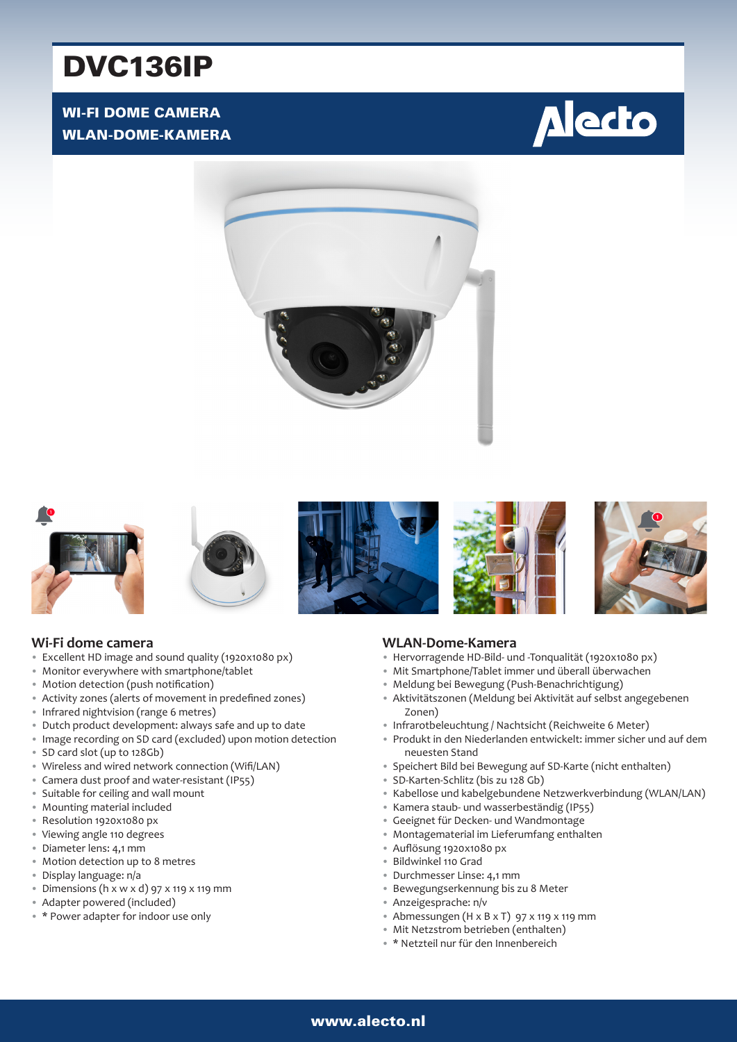# DVC136IP

# WI-FI DOME CAMERA WLAN-DOME-KAMERA















## **Wi-Fi dome camera**

- Excellent HD image and sound quality (1920x1080 px)
- Monitor everywhere with smartphone/tablet
- Motion detection (push notification)
- Activity zones (alerts of movement in predefined zones)
- Infrared nightvision (range 6 metres)
- Dutch product development: always safe and up to date
- Image recording on SD card (excluded) upon motion detection
- SD card slot (up to 128Gb)
- Wireless and wired network connection (Wifi/LAN)
- Camera dust proof and water-resistant (IP55)
- Suitable for ceiling and wall mount
- Mounting material included
- Resolution 1920x1080 px
- Viewing angle 110 degrees
- Diameter lens: 4,1 mm
- Motion detection up to 8 metres
- Display language: n/a
- Dimensions ( $h \times w \times d$ ) 97  $\times$  119  $\times$  119 mm
- Adapter powered (included)
- \* Power adapter for indoor use only

## **WLAN-Dome-Kamera**

- Hervorragende HD-Bild- und -Tonqualität (1920x1080 px)
- Mit Smartphone/Tablet immer und überall überwachen
- Meldung bei Bewegung (Push-Benachrichtigung)
- Aktivitätszonen (Meldung bei Aktivität auf selbst angegebenen Zonen)
- Infrarotbeleuchtung / Nachtsicht (Reichweite 6 Meter)
- Produkt in den Niederlanden entwickelt: immer sicher und auf dem neuesten Stand
- Speichert Bild bei Bewegung auf SD-Karte (nicht enthalten)
- SD-Karten-Schlitz (bis zu 128 Gb)
- Kabellose und kabelgebundene Netzwerkverbindung (WLAN/LAN)
- Kamera staub- und wasserbeständig (IP55)
- Geeignet für Decken- und Wandmontage
	- Montagematerial im Lieferumfang enthalten
	- Auflösung 1920x1080 px
	- Bildwinkel 110 Grad
	- Durchmesser Linse: 4,1 mm
	- Bewegungserkennung bis zu 8 Meter
	- Anzeigesprache: n/v
	- Abmessungen (H x B x T) 97 x 119 x 119 mm
	- Mit Netzstrom betrieben (enthalten)
	- \* Netzteil nur für den Innenbereich

# 1 www.alecto.nl